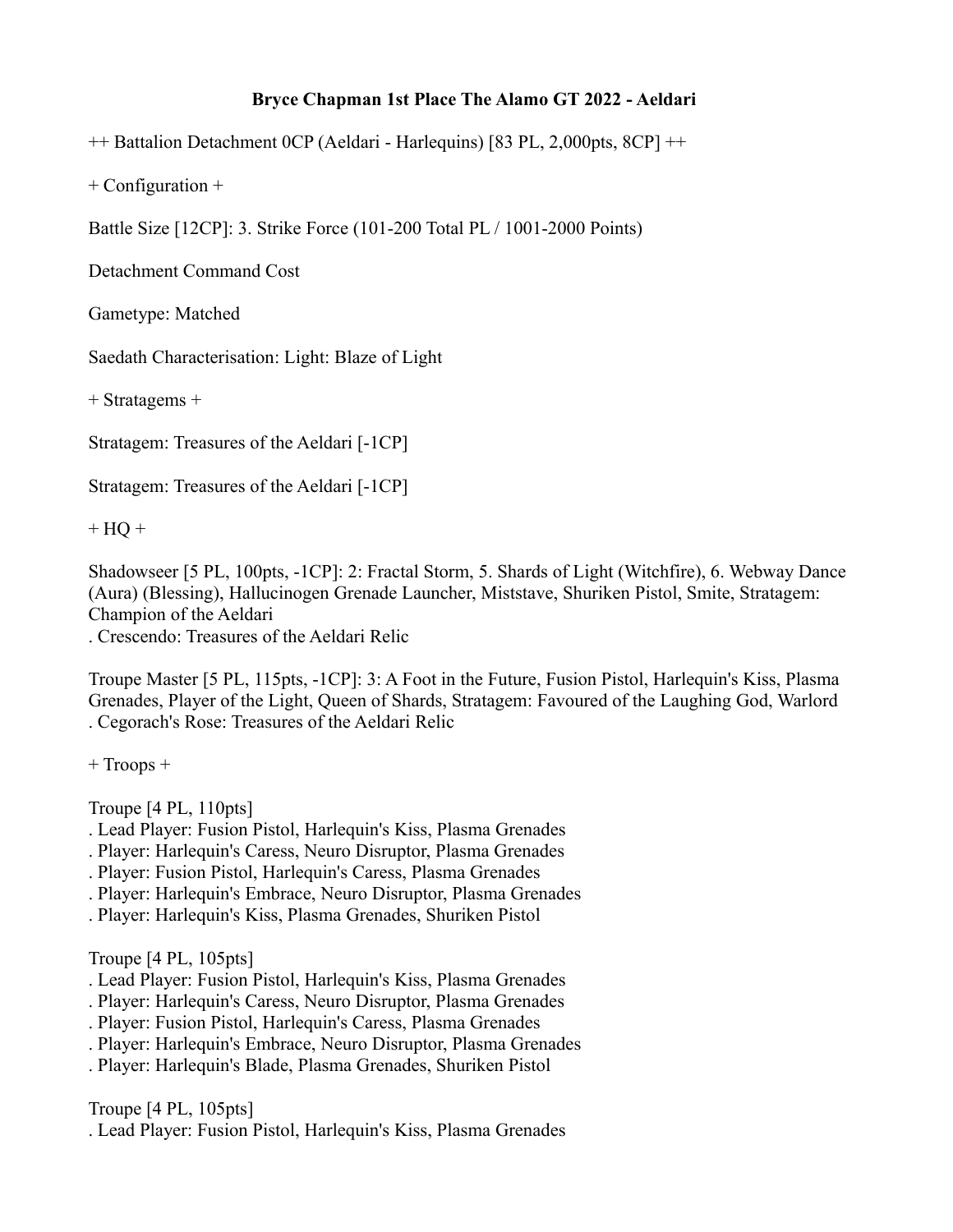## **Bryce Chapman 1st Place The Alamo GT 2022 - Aeldari**

++ Battalion Detachment 0CP (Aeldari - Harlequins) [83 PL, 2,000pts, 8CP] ++

+ Configuration +

Battle Size [12CP]: 3. Strike Force (101-200 Total PL / 1001-2000 Points)

Detachment Command Cost

Gametype: Matched

Saedath Characterisation: Light: Blaze of Light

+ Stratagems +

Stratagem: Treasures of the Aeldari [-1CP]

Stratagem: Treasures of the Aeldari [-1CP]

 $+ HQ +$ 

Shadowseer [5 PL, 100pts, -1CP]: 2: Fractal Storm, 5. Shards of Light (Witchfire), 6. Webway Dance (Aura) (Blessing), Hallucinogen Grenade Launcher, Miststave, Shuriken Pistol, Smite, Stratagem: Champion of the Aeldari . Crescendo: Treasures of the Aeldari Relic

Troupe Master [5 PL, 115pts, -1CP]: 3: A Foot in the Future, Fusion Pistol, Harlequin's Kiss, Plasma Grenades, Player of the Light, Queen of Shards, Stratagem: Favoured of the Laughing God, Warlord . Cegorach's Rose: Treasures of the Aeldari Relic

Troupe [4 PL, 110pts]

- . Lead Player: Fusion Pistol, Harlequin's Kiss, Plasma Grenades
- . Player: Harlequin's Caress, Neuro Disruptor, Plasma Grenades
- . Player: Fusion Pistol, Harlequin's Caress, Plasma Grenades
- . Player: Harlequin's Embrace, Neuro Disruptor, Plasma Grenades
- . Player: Harlequin's Kiss, Plasma Grenades, Shuriken Pistol

Troupe [4 PL, 105pts]

- . Lead Player: Fusion Pistol, Harlequin's Kiss, Plasma Grenades
- . Player: Harlequin's Caress, Neuro Disruptor, Plasma Grenades
- . Player: Fusion Pistol, Harlequin's Caress, Plasma Grenades
- . Player: Harlequin's Embrace, Neuro Disruptor, Plasma Grenades
- . Player: Harlequin's Blade, Plasma Grenades, Shuriken Pistol

Troupe [4 PL, 105pts]

. Lead Player: Fusion Pistol, Harlequin's Kiss, Plasma Grenades

<sup>+</sup> Troops +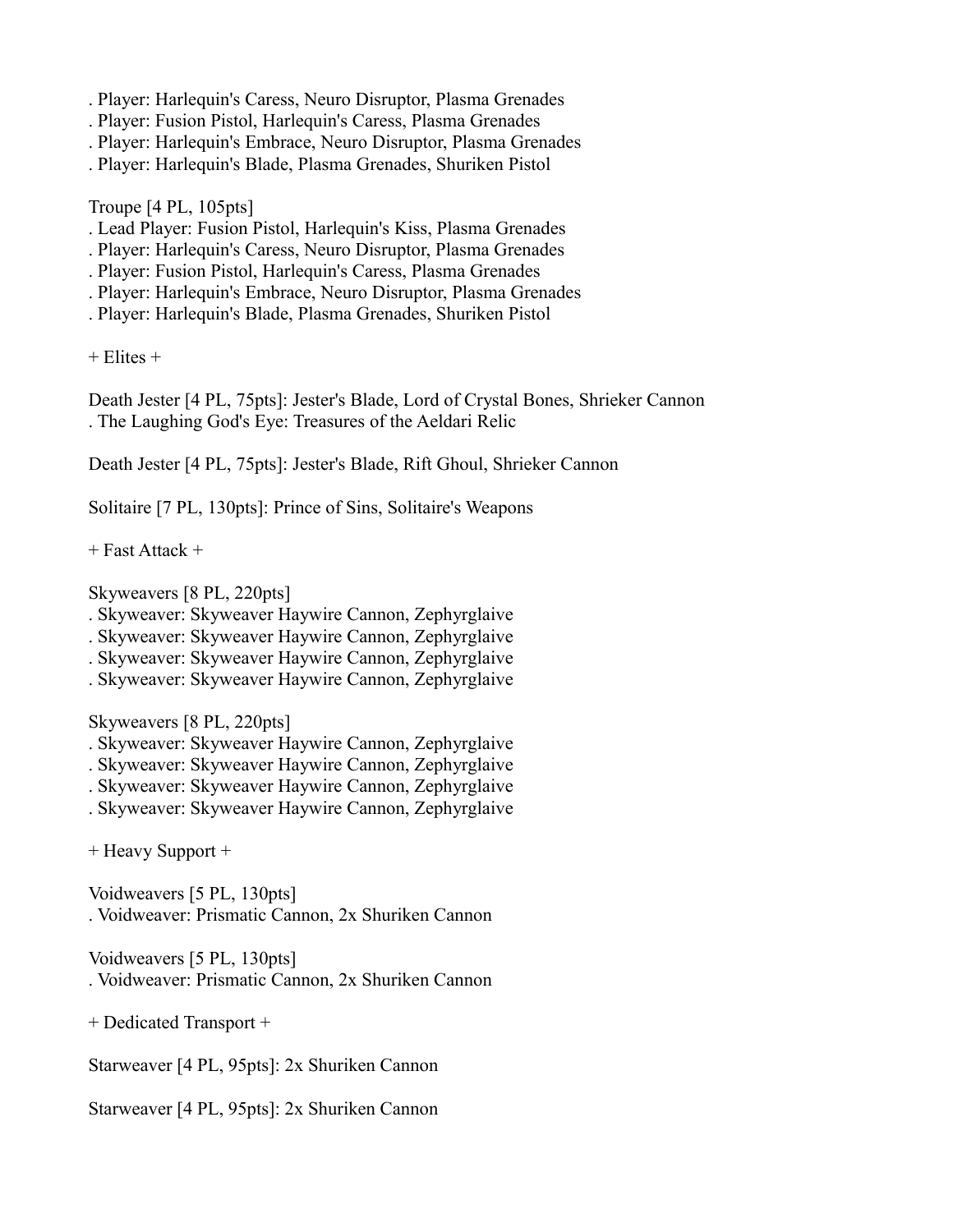- . Player: Harlequin's Caress, Neuro Disruptor, Plasma Grenades
- . Player: Fusion Pistol, Harlequin's Caress, Plasma Grenades
- . Player: Harlequin's Embrace, Neuro Disruptor, Plasma Grenades
- . Player: Harlequin's Blade, Plasma Grenades, Shuriken Pistol

Troupe [4 PL, 105pts]

- . Lead Player: Fusion Pistol, Harlequin's Kiss, Plasma Grenades
- . Player: Harlequin's Caress, Neuro Disruptor, Plasma Grenades
- . Player: Fusion Pistol, Harlequin's Caress, Plasma Grenades
- . Player: Harlequin's Embrace, Neuro Disruptor, Plasma Grenades
- . Player: Harlequin's Blade, Plasma Grenades, Shuriken Pistol

+ Elites +

Death Jester [4 PL, 75pts]: Jester's Blade, Lord of Crystal Bones, Shrieker Cannon . The Laughing God's Eye: Treasures of the Aeldari Relic

Death Jester [4 PL, 75pts]: Jester's Blade, Rift Ghoul, Shrieker Cannon

Solitaire [7 PL, 130pts]: Prince of Sins, Solitaire's Weapons

+ Fast Attack +

Skyweavers [8 PL, 220pts]

- . Skyweaver: Skyweaver Haywire Cannon, Zephyrglaive
- . Skyweaver: Skyweaver Haywire Cannon, Zephyrglaive
- . Skyweaver: Skyweaver Haywire Cannon, Zephyrglaive
- . Skyweaver: Skyweaver Haywire Cannon, Zephyrglaive

Skyweavers [8 PL, 220pts]

- . Skyweaver: Skyweaver Haywire Cannon, Zephyrglaive
- . Skyweaver: Skyweaver Haywire Cannon, Zephyrglaive
- . Skyweaver: Skyweaver Haywire Cannon, Zephyrglaive
- . Skyweaver: Skyweaver Haywire Cannon, Zephyrglaive

+ Heavy Support +

Voidweavers [5 PL, 130pts] . Voidweaver: Prismatic Cannon, 2x Shuriken Cannon

Voidweavers [5 PL, 130pts] . Voidweaver: Prismatic Cannon, 2x Shuriken Cannon

+ Dedicated Transport +

Starweaver [4 PL, 95pts]: 2x Shuriken Cannon

Starweaver [4 PL, 95pts]: 2x Shuriken Cannon